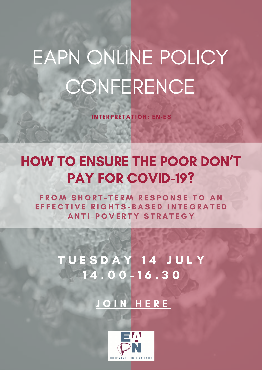## EAPN ONLINE POLICY **CONFERENCE**

INTERPRETATION: EN-ES

### HOW TO ENSURE THE POOR DON'T PAY FOR COVID-19?

FROM SHORT-TERM RESPONSE TO AN EFFECTIVE RIGHTS-BASED INTEGRATED A N T I - P O V E R T Y S T R A T E G Y

> TUESDAY 14 JULY 1 4 . 0 0 - 1 6 . 3 0

> > J [O](https://zoom.us/j/95669218051?status=success) I N H E R E

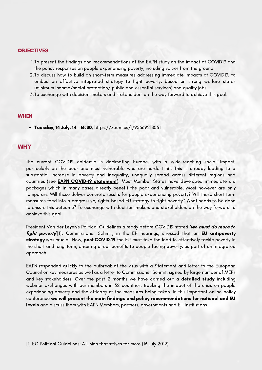#### **OBJECTIVES**

- 1.To present the findings and recommendations of the EAPN study on the impact of COVID19 and the policy responses on people experiencing poverty, including voices from the ground.
- 2.To discuss how to build on short-term measures addressing immediate impacts of COVID19, to embed an effective integrated strategy to fight poverty, based on strong welfare states (minimum income/social protection/ public and essential services) and quality jobs.
- 3. To exchange with decision-makers and stakeholders on the way forward to achieve this goal.

#### **WHEN**

Tuesday, 14 July, 14 – 16:30, https://zoom.us/j/95669218051

#### **WHY**

The current COVID19 epidemic is decimating Europe, with a wide-reaching social impact, particularly on the poor and most vulnerable who are hardest hit. This is already leading to a substantial increase in poverty and inequality, unequally spread across different regions and countries (see **EAPN COVID-19 statement**). Most Member States have developed immediate aid packages which in many cases directly benefit the poor and vulnerable. Most however are only temporary. Will these deliver concrete results for people experiencing poverty? Will these short-term measures feed into a progressive, rights-based EU strategy to fight poverty? What needs to be done to ensure this outcome? To exchange with decision-makers and stakeholders on the way forward to achieve this goal.

President Von der Leyen's Political Guidelines already before COVID19 stated 'we must do more to fight poverty<sup>'[1]</sup>. Commissioner Schmit, in the EP hearings, stressed that an EU antipoverty strategy was crucial. Now, post COVID-19 the EU must take the lead to effectively tackle poverty in the short and long-term, ensuring direct benefits to people facing poverty, as part of an integrated approach.

EAPN responded quickly to the outbreak of the virus with a Statement and letter to the European Council on key measures as well as a letter to Commissioner Schmit, signed by large number of MEPs and key stakeholders. Over the past 2 months we have carried out a **detailed study** including webinar exchanges with our members in 32 countries, tracking the impact of the crisis on people experiencing poverty and the efficacy of the measures being taken. In this important online policy conference we will present the main findings and policy recommendations for national and EU levels and discuss them with EAPN Members, partners, governments and EU institutions.

[1] EC Political Guidelines: A Union that strives for more (16 July 2019).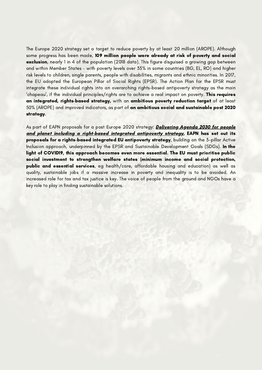The Europe 2020 strategy set a target to reduce poverty by at least 20 million (AROPE). Although some progress has been made, 109 million people were already at risk of poverty and social exclusion, nearly 1 in 4 of the population (2018 data). This figure disguised a growing gap between and within Member States – with poverty levels over 35% in some countries (BG, EL, RO) and higher risk levels to children, single parents, people with disabilities, migrants and ethnic minorities. In 2017, the EU adopted the European Pillar of Social Rights (EPSR). The Action Plan for the EPSR must integrate these individual rights into an overarching rights-based antipoverty strategy as the main 'chapeau', if the individual principles/rights are to achieve a real impact on poverty. This requires an integrated, rights-based strategy, with an ambitious poverty reduction target of at least 50% (AROPE) and improved indicators, as part of an ambitious social and sustainable post 2020 strategy.

As part of EAPN proposals for a post Europe 2020 strategy: **Delivering Agenda 2030 for people** and planet including a [right-based](https://www.eapn.eu/wp-content/uploads/2019/11/EAPN-2019-EAPN-Position-Post-2020-Poverty-Strategy-3990.pdf) integrated antipoverty strategy, EAPN has set out its proposals for a rights-based integrated EU antipoverty strategy, building on the 3-pillar Active Inclusion approach, underpinned by the EPSR and Sustainable Development Goals (SDGs). In the light of COVID19, this approach becomes even more essential. The EU must prioritise public social investment to strengthen welfare states (minimum income and social protection, public and essential services, eg health/care, affordable housing and education) as well as quality, sustainable jobs if a massive increase in poverty and inequality is to be avoided. An increased role for tax and tax justice is key. The voice of people from the ground and NGOs have a key role to play in finding sustainable solutions.